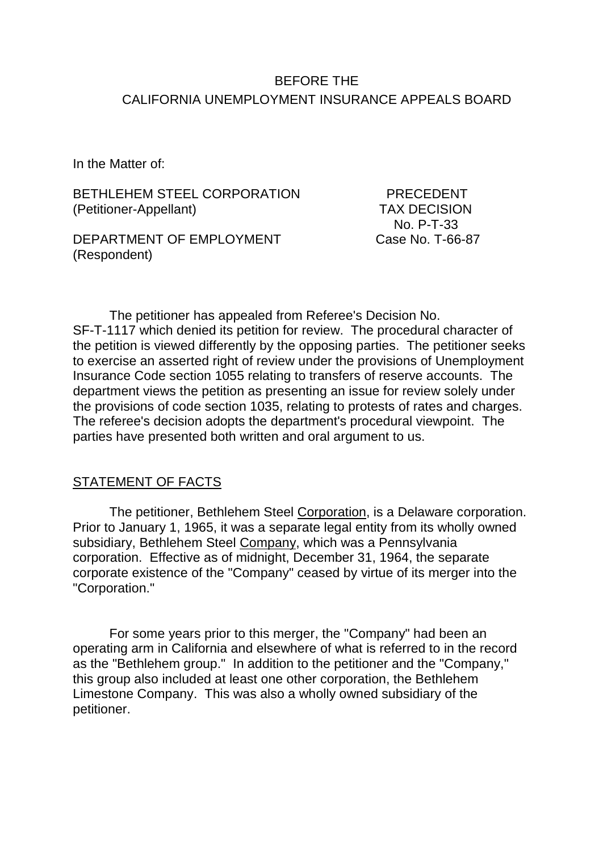## BEFORE THE CALIFORNIA UNEMPLOYMENT INSURANCE APPEALS BOARD

In the Matter of:

BETHLEHEM STEEL CORPORATION PRECEDENT (Petitioner-Appellant) TAX DECISION

DEPARTMENT OF EMPLOYMENT Case No. T-66-87 (Respondent)

No. P-T-33

The petitioner has appealed from Referee's Decision No. SF-T-1117 which denied its petition for review. The procedural character of the petition is viewed differently by the opposing parties. The petitioner seeks to exercise an asserted right of review under the provisions of Unemployment Insurance Code section 1055 relating to transfers of reserve accounts. The department views the petition as presenting an issue for review solely under the provisions of code section 1035, relating to protests of rates and charges. The referee's decision adopts the department's procedural viewpoint. The parties have presented both written and oral argument to us.

#### STATEMENT OF FACTS

The petitioner, Bethlehem Steel Corporation, is a Delaware corporation. Prior to January 1, 1965, it was a separate legal entity from its wholly owned subsidiary, Bethlehem Steel Company, which was a Pennsylvania corporation. Effective as of midnight, December 31, 1964, the separate corporate existence of the "Company" ceased by virtue of its merger into the "Corporation."

For some years prior to this merger, the "Company" had been an operating arm in California and elsewhere of what is referred to in the record as the "Bethlehem group." In addition to the petitioner and the "Company," this group also included at least one other corporation, the Bethlehem Limestone Company. This was also a wholly owned subsidiary of the petitioner.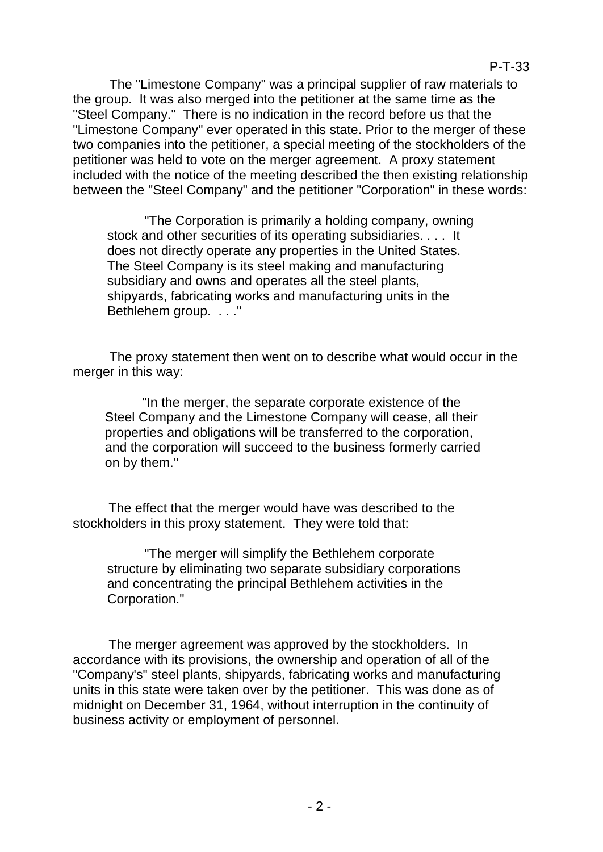The "Limestone Company" was a principal supplier of raw materials to the group. It was also merged into the petitioner at the same time as the "Steel Company." There is no indication in the record before us that the "Limestone Company" ever operated in this state. Prior to the merger of these two companies into the petitioner, a special meeting of the stockholders of the petitioner was held to vote on the merger agreement. A proxy statement included with the notice of the meeting described the then existing relationship between the "Steel Company" and the petitioner "Corporation" in these words:

"The Corporation is primarily a holding company, owning stock and other securities of its operating subsidiaries. . . . It does not directly operate any properties in the United States. The Steel Company is its steel making and manufacturing subsidiary and owns and operates all the steel plants, shipyards, fabricating works and manufacturing units in the Bethlehem group. . . ."

The proxy statement then went on to describe what would occur in the merger in this way:

"In the merger, the separate corporate existence of the Steel Company and the Limestone Company will cease, all their properties and obligations will be transferred to the corporation, and the corporation will succeed to the business formerly carried on by them."

The effect that the merger would have was described to the stockholders in this proxy statement. They were told that:

"The merger will simplify the Bethlehem corporate structure by eliminating two separate subsidiary corporations and concentrating the principal Bethlehem activities in the Corporation."

The merger agreement was approved by the stockholders. In accordance with its provisions, the ownership and operation of all of the "Company's" steel plants, shipyards, fabricating works and manufacturing units in this state were taken over by the petitioner. This was done as of midnight on December 31, 1964, without interruption in the continuity of business activity or employment of personnel.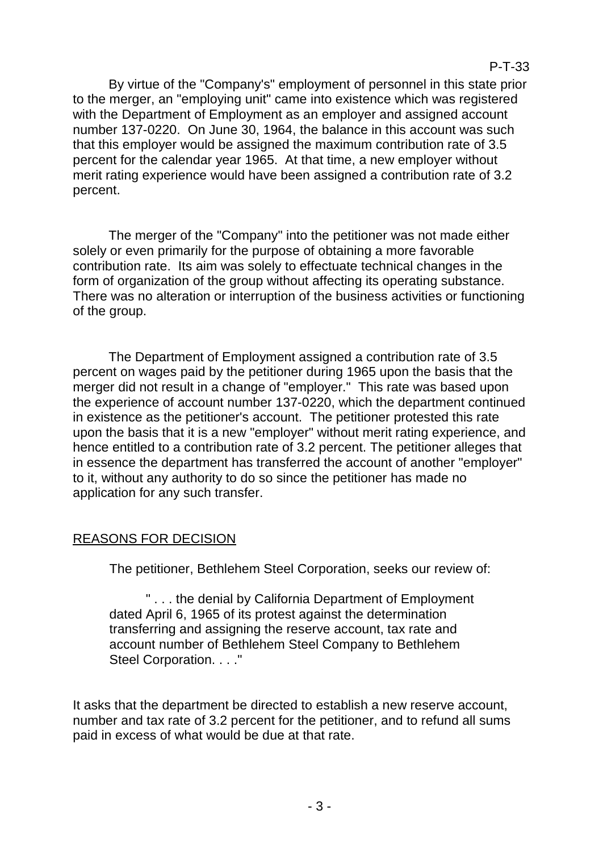P-T-33

By virtue of the "Company's" employment of personnel in this state prior to the merger, an "employing unit" came into existence which was registered with the Department of Employment as an employer and assigned account number 137-0220. On June 30, 1964, the balance in this account was such that this employer would be assigned the maximum contribution rate of 3.5 percent for the calendar year 1965. At that time, a new employer without merit rating experience would have been assigned a contribution rate of 3.2 percent.

The merger of the "Company" into the petitioner was not made either solely or even primarily for the purpose of obtaining a more favorable contribution rate. Its aim was solely to effectuate technical changes in the form of organization of the group without affecting its operating substance. There was no alteration or interruption of the business activities or functioning of the group.

The Department of Employment assigned a contribution rate of 3.5 percent on wages paid by the petitioner during 1965 upon the basis that the merger did not result in a change of "employer." This rate was based upon the experience of account number 137-0220, which the department continued in existence as the petitioner's account. The petitioner protested this rate upon the basis that it is a new "employer" without merit rating experience, and hence entitled to a contribution rate of 3.2 percent. The petitioner alleges that in essence the department has transferred the account of another "employer" to it, without any authority to do so since the petitioner has made no application for any such transfer.

### REASONS FOR DECISION

The petitioner, Bethlehem Steel Corporation, seeks our review of:

" . . . the denial by California Department of Employment dated April 6, 1965 of its protest against the determination transferring and assigning the reserve account, tax rate and account number of Bethlehem Steel Company to Bethlehem Steel Corporation. . . ."

It asks that the department be directed to establish a new reserve account, number and tax rate of 3.2 percent for the petitioner, and to refund all sums paid in excess of what would be due at that rate.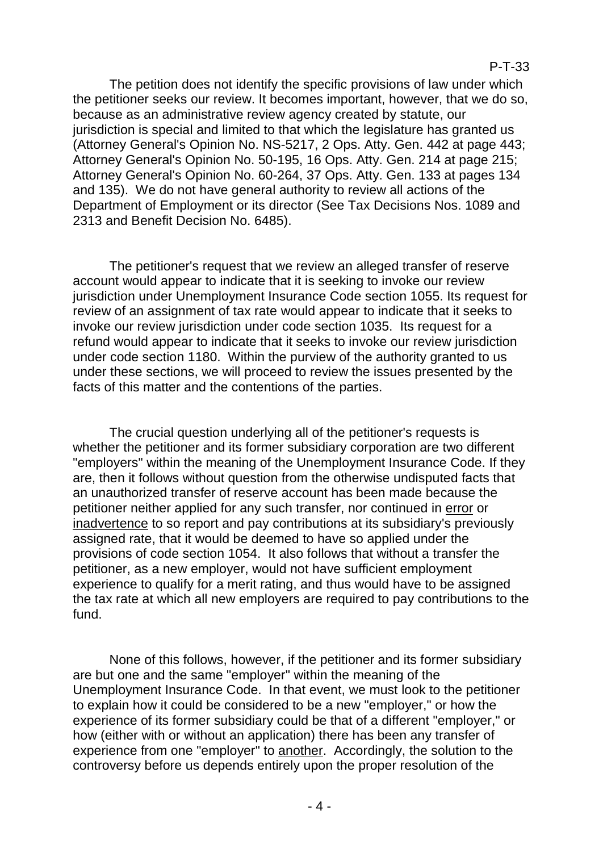The petition does not identify the specific provisions of law under which the petitioner seeks our review. It becomes important, however, that we do so, because as an administrative review agency created by statute, our jurisdiction is special and limited to that which the legislature has granted us (Attorney General's Opinion No. NS-5217, 2 Ops. Atty. Gen. 442 at page 443; Attorney General's Opinion No. 50-195, 16 Ops. Atty. Gen. 214 at page 215; Attorney General's Opinion No. 60-264, 37 Ops. Atty. Gen. 133 at pages 134 and 135). We do not have general authority to review all actions of the Department of Employment or its director (See Tax Decisions Nos. 1089 and 2313 and Benefit Decision No. 6485).

The petitioner's request that we review an alleged transfer of reserve account would appear to indicate that it is seeking to invoke our review jurisdiction under Unemployment Insurance Code section 1055. Its request for review of an assignment of tax rate would appear to indicate that it seeks to invoke our review jurisdiction under code section 1035. Its request for a refund would appear to indicate that it seeks to invoke our review jurisdiction under code section 1180. Within the purview of the authority granted to us under these sections, we will proceed to review the issues presented by the facts of this matter and the contentions of the parties.

The crucial question underlying all of the petitioner's requests is whether the petitioner and its former subsidiary corporation are two different "employers" within the meaning of the Unemployment Insurance Code. If they are, then it follows without question from the otherwise undisputed facts that an unauthorized transfer of reserve account has been made because the petitioner neither applied for any such transfer, nor continued in error or inadvertence to so report and pay contributions at its subsidiary's previously assigned rate, that it would be deemed to have so applied under the provisions of code section 1054. It also follows that without a transfer the petitioner, as a new employer, would not have sufficient employment experience to qualify for a merit rating, and thus would have to be assigned the tax rate at which all new employers are required to pay contributions to the fund.

None of this follows, however, if the petitioner and its former subsidiary are but one and the same "employer" within the meaning of the Unemployment Insurance Code. In that event, we must look to the petitioner to explain how it could be considered to be a new "employer," or how the experience of its former subsidiary could be that of a different "employer," or how (either with or without an application) there has been any transfer of experience from one "employer" to another. Accordingly, the solution to the controversy before us depends entirely upon the proper resolution of the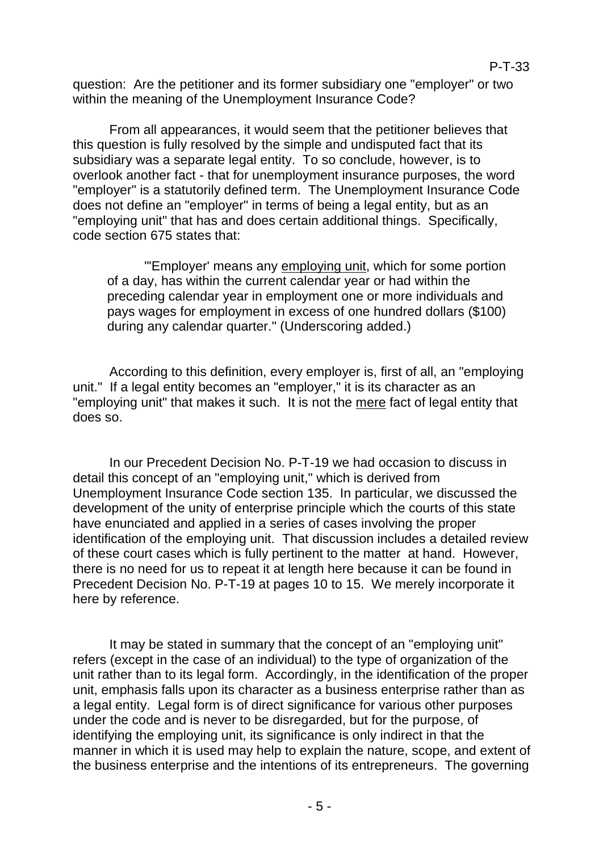question: Are the petitioner and its former subsidiary one "employer" or two within the meaning of the Unemployment Insurance Code?

From all appearances, it would seem that the petitioner believes that this question is fully resolved by the simple and undisputed fact that its subsidiary was a separate legal entity. To so conclude, however, is to overlook another fact - that for unemployment insurance purposes, the word "employer" is a statutorily defined term. The Unemployment Insurance Code does not define an "employer" in terms of being a legal entity, but as an "employing unit" that has and does certain additional things. Specifically, code section 675 states that:

"'Employer' means any employing unit, which for some portion of a day, has within the current calendar year or had within the preceding calendar year in employment one or more individuals and pays wages for employment in excess of one hundred dollars (\$100) during any calendar quarter." (Underscoring added.)

According to this definition, every employer is, first of all, an "employing unit." If a legal entity becomes an "employer," it is its character as an "employing unit" that makes it such. It is not the mere fact of legal entity that does so.

In our Precedent Decision No. P-T-19 we had occasion to discuss in detail this concept of an "employing unit," which is derived from Unemployment Insurance Code section 135. In particular, we discussed the development of the unity of enterprise principle which the courts of this state have enunciated and applied in a series of cases involving the proper identification of the employing unit. That discussion includes a detailed review of these court cases which is fully pertinent to the matter at hand. However, there is no need for us to repeat it at length here because it can be found in Precedent Decision No. P-T-19 at pages 10 to 15. We merely incorporate it here by reference.

It may be stated in summary that the concept of an "employing unit" refers (except in the case of an individual) to the type of organization of the unit rather than to its legal form. Accordingly, in the identification of the proper unit, emphasis falls upon its character as a business enterprise rather than as a legal entity. Legal form is of direct significance for various other purposes under the code and is never to be disregarded, but for the purpose, of identifying the employing unit, its significance is only indirect in that the manner in which it is used may help to explain the nature, scope, and extent of the business enterprise and the intentions of its entrepreneurs. The governing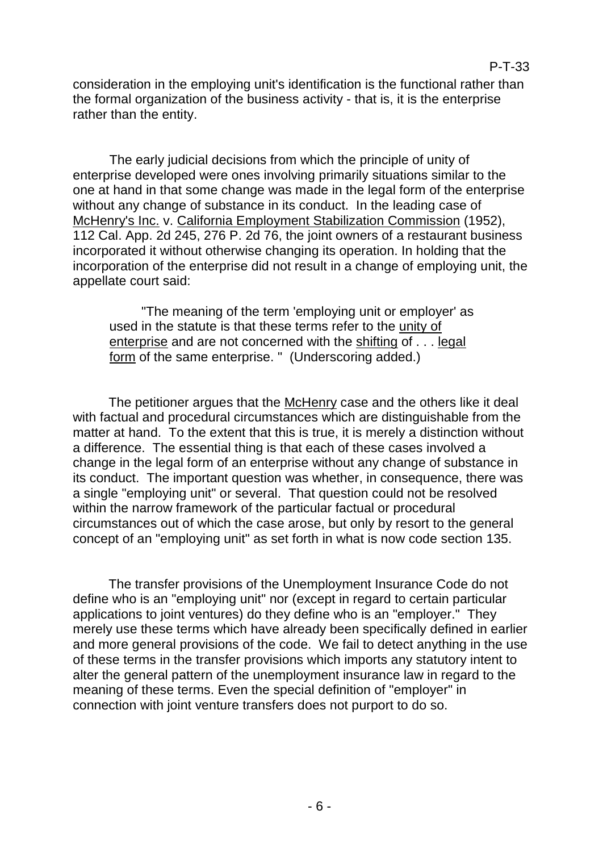P-T-33

The early judicial decisions from which the principle of unity of enterprise developed were ones involving primarily situations similar to the one at hand in that some change was made in the legal form of the enterprise without any change of substance in its conduct. In the leading case of McHenry's Inc. v. California Employment Stabilization Commission (1952), 112 Cal. App. 2d 245, 276 P. 2d 76, the joint owners of a restaurant business incorporated it without otherwise changing its operation. In holding that the incorporation of the enterprise did not result in a change of employing unit, the appellate court said:

"The meaning of the term 'employing unit or employer' as used in the statute is that these terms refer to the unity of enterprise and are not concerned with the shifting of . . . legal form of the same enterprise. " (Underscoring added.)

The petitioner argues that the McHenry case and the others like it deal with factual and procedural circumstances which are distinguishable from the matter at hand. To the extent that this is true, it is merely a distinction without a difference. The essential thing is that each of these cases involved a change in the legal form of an enterprise without any change of substance in its conduct. The important question was whether, in consequence, there was a single "employing unit" or several. That question could not be resolved within the narrow framework of the particular factual or procedural circumstances out of which the case arose, but only by resort to the general concept of an "employing unit" as set forth in what is now code section 135.

The transfer provisions of the Unemployment Insurance Code do not define who is an "employing unit" nor (except in regard to certain particular applications to joint ventures) do they define who is an "employer." They merely use these terms which have already been specifically defined in earlier and more general provisions of the code. We fail to detect anything in the use of these terms in the transfer provisions which imports any statutory intent to alter the general pattern of the unemployment insurance law in regard to the meaning of these terms. Even the special definition of "employer" in connection with joint venture transfers does not purport to do so.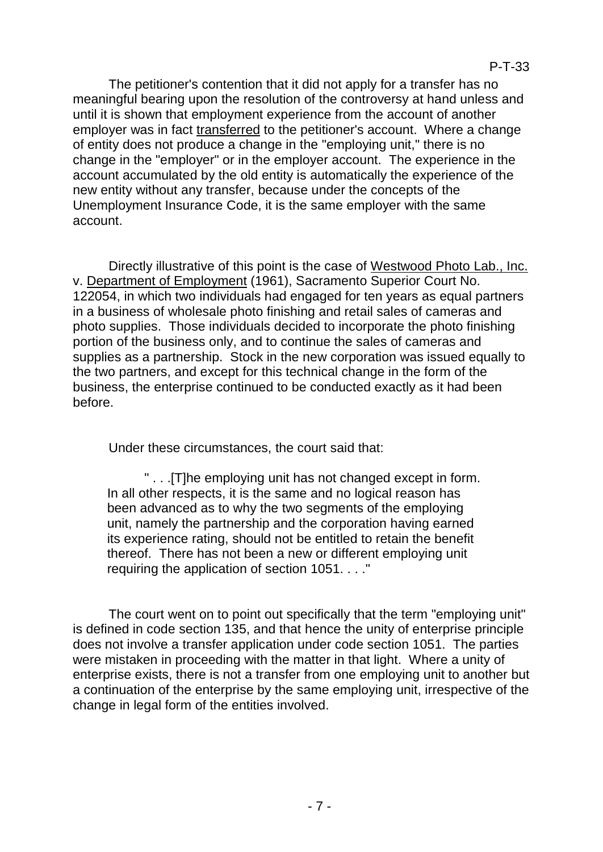The petitioner's contention that it did not apply for a transfer has no meaningful bearing upon the resolution of the controversy at hand unless and until it is shown that employment experience from the account of another employer was in fact transferred to the petitioner's account. Where a change of entity does not produce a change in the "employing unit," there is no change in the "employer" or in the employer account. The experience in the account accumulated by the old entity is automatically the experience of the new entity without any transfer, because under the concepts of the Unemployment Insurance Code, it is the same employer with the same account.

Directly illustrative of this point is the case of Westwood Photo Lab., Inc. v. Department of Employment (1961), Sacramento Superior Court No. 122054, in which two individuals had engaged for ten years as equal partners in a business of wholesale photo finishing and retail sales of cameras and photo supplies. Those individuals decided to incorporate the photo finishing portion of the business only, and to continue the sales of cameras and supplies as a partnership. Stock in the new corporation was issued equally to the two partners, and except for this technical change in the form of the business, the enterprise continued to be conducted exactly as it had been before.

Under these circumstances, the court said that:

" . . .[T]he employing unit has not changed except in form. In all other respects, it is the same and no logical reason has been advanced as to why the two segments of the employing unit, namely the partnership and the corporation having earned its experience rating, should not be entitled to retain the benefit thereof. There has not been a new or different employing unit requiring the application of section 1051. . . ."

The court went on to point out specifically that the term "employing unit" is defined in code section 135, and that hence the unity of enterprise principle does not involve a transfer application under code section 1051. The parties were mistaken in proceeding with the matter in that light. Where a unity of enterprise exists, there is not a transfer from one employing unit to another but a continuation of the enterprise by the same employing unit, irrespective of the change in legal form of the entities involved.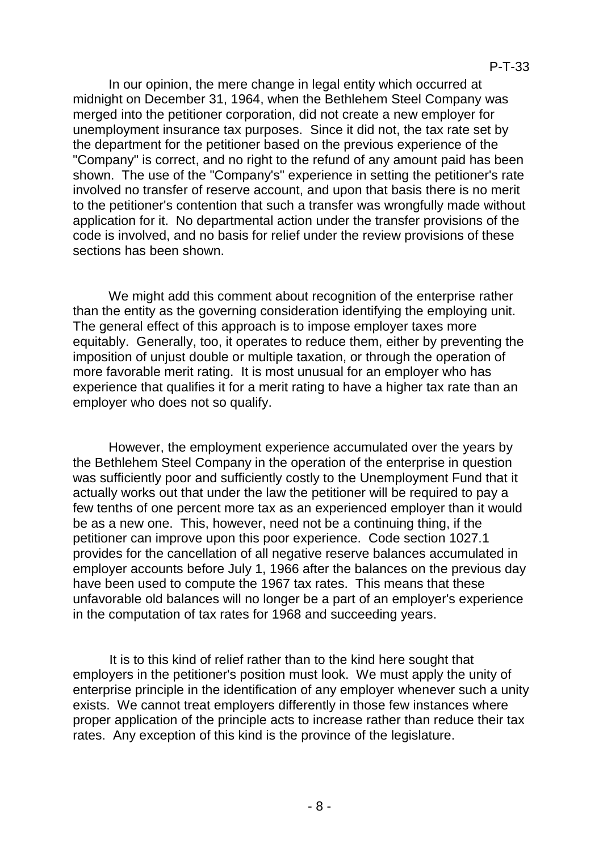In our opinion, the mere change in legal entity which occurred at midnight on December 31, 1964, when the Bethlehem Steel Company was merged into the petitioner corporation, did not create a new employer for unemployment insurance tax purposes. Since it did not, the tax rate set by the department for the petitioner based on the previous experience of the "Company" is correct, and no right to the refund of any amount paid has been shown. The use of the "Company's" experience in setting the petitioner's rate involved no transfer of reserve account, and upon that basis there is no merit to the petitioner's contention that such a transfer was wrongfully made without application for it. No departmental action under the transfer provisions of the code is involved, and no basis for relief under the review provisions of these sections has been shown.

We might add this comment about recognition of the enterprise rather than the entity as the governing consideration identifying the employing unit. The general effect of this approach is to impose employer taxes more equitably. Generally, too, it operates to reduce them, either by preventing the imposition of unjust double or multiple taxation, or through the operation of more favorable merit rating. It is most unusual for an employer who has experience that qualifies it for a merit rating to have a higher tax rate than an employer who does not so qualify.

However, the employment experience accumulated over the years by the Bethlehem Steel Company in the operation of the enterprise in question was sufficiently poor and sufficiently costly to the Unemployment Fund that it actually works out that under the law the petitioner will be required to pay a few tenths of one percent more tax as an experienced employer than it would be as a new one. This, however, need not be a continuing thing, if the petitioner can improve upon this poor experience. Code section 1027.1 provides for the cancellation of all negative reserve balances accumulated in employer accounts before July 1, 1966 after the balances on the previous day have been used to compute the 1967 tax rates. This means that these unfavorable old balances will no longer be a part of an employer's experience in the computation of tax rates for 1968 and succeeding years.

It is to this kind of relief rather than to the kind here sought that employers in the petitioner's position must look. We must apply the unity of enterprise principle in the identification of any employer whenever such a unity exists. We cannot treat employers differently in those few instances where proper application of the principle acts to increase rather than reduce their tax rates. Any exception of this kind is the province of the legislature.